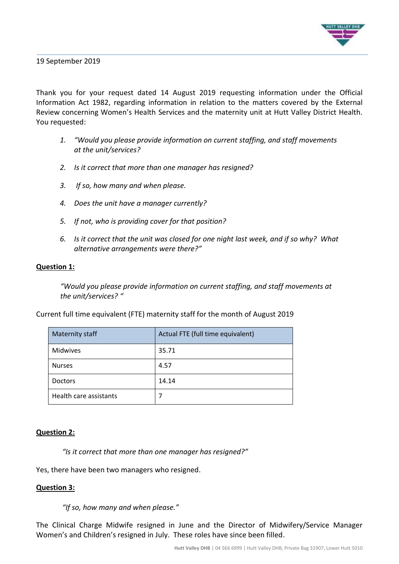

19 September 2019

Thank you for your request dated 14 August 2019 requesting information under the Official Information Act 1982, regarding information in relation to the matters covered by the External Review concerning Women's Health Services and the maternity unit at Hutt Valley District Health. You requested:

- *1. "Would you please provide information on current staffing, and staff movements at the unit/services?*
- *2. Is it correct that more than one manager has resigned?*
- *3. If so, how many and when please.*
- *4. Does the unit have a manager currently?*
- *5. If not, who is providing cover for that position?*
- *6. Is it correct that the unit was closed for one night last week, and if so why? What alternative arrangements were there?"*

### **Question 1:**

*"Would you please provide information on current staffing, and staff movements at the unit/services? "*

Current full time equivalent (FTE) maternity staff for the month of August 2019

| <b>Maternity staff</b> | Actual FTE (full time equivalent) |
|------------------------|-----------------------------------|
| <b>Midwives</b>        | 35.71                             |
| <b>Nurses</b>          | 4.57                              |
| <b>Doctors</b>         | 14.14                             |
| Health care assistants |                                   |

#### **Question 2:**

*"Is it correct that more than one manager has resigned?"*

Yes, there have been two managers who resigned.

### **Question 3:**

*"If so, how many and when please."*

The Clinical Charge Midwife resigned in June and the Director of Midwifery/Service Manager Women's and Children's resigned in July. These roles have since been filled.